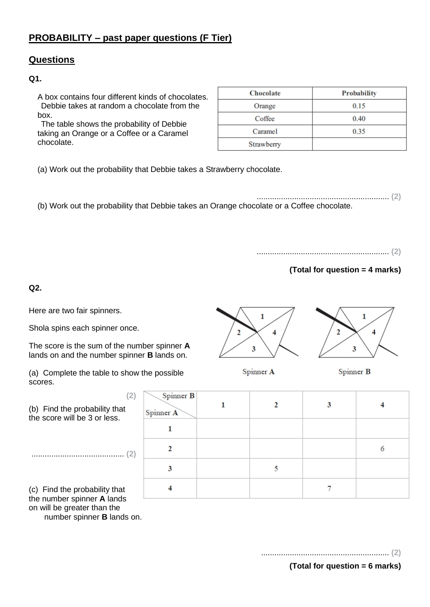# **PROBABILITY – past paper questions (F Tier)**

# **Questions**

#### **Q1.**

A box contains four different kinds of chocolates. Debbie takes at random a chocolate from the box.

The table shows the probability of Debbie taking an Orange or a Coffee or a Caramel chocolate.

| <b>Chocolate</b> | Probability |
|------------------|-------------|
| Orange           | 0.15        |
| Coffee           | 0.40        |
| Caramel          | 0.35        |
| Strawberry       |             |

(a) Work out the probability that Debbie takes a Strawberry chocolate.

............................................................ **(2)** (b) Work out the probability that Debbie takes an Orange chocolate or a Coffee chocolate.

............................................................ **(2)**

# **(Total for question = 4 marks)**

**Q2.**

Here are two fair spinners.

Shola spins each spinner once.

The score is the sum of the number spinner **A** lands on and the number spinner **B** lands on.

(a) Complete the table to show the possible scores.

(b) Find the probability that the score will be 3 or less.

.......................................... **(2)**

(c) Find the probability that the number spinner **A** lands on will be greater than the number spinner **B** lands on.



Spinner A



Spinner B

| (2) | Spinner B<br>Spinner A |  |  |
|-----|------------------------|--|--|
|     |                        |  |  |
| (2) |                        |  |  |
|     | 3                      |  |  |
|     |                        |  |  |

.......................................................... **(2)**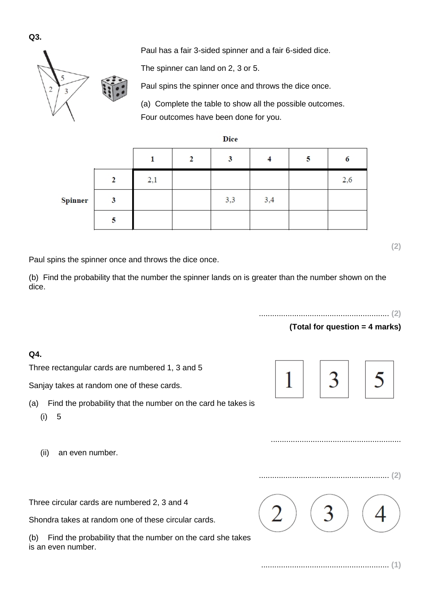Paul has a fair 3-sided spinner and a fair 6-sided dice.

The spinner can land on 2, 3 or 5.

 $\overline{2}$ 

Paul spins the spinner once and throws the dice once.

**Dice** 

3

(a) Complete the table to show all the possible outcomes. Four outcomes have been done for you.

 $\overline{4}$ 

| Spinner |  | 3,3 | 3.4 |
|---------|--|-----|-----|
|         |  |     |     |
|         |  |     |     |

 $\mathbf{1}$ 

 $2.1$ 

Paul spins the spinner once and throws the dice once.

 $\overline{2}$ 

(b) Find the probability that the number the spinner lands on is greater than the number shown on the dice.

........................................................... **(2)**

 $\overline{\mathbf{5}}$ 

#### **(Total for question = 4 marks)**

6

2.6



...........................................................

# **Q4.**

Three rectangular cards are numbered 1, 3 and 5

Sanjay takes at random one of these cards.

- (a) Find the probability that the number on the card he takes is
	- (i) 5
	- (ii) an even number.

Three circular cards are numbered 2, 3 and 4

Shondra takes at random one of these circular cards.

(b) Find the probability that the number on the card she takes is an even number.

**Q3.**





.......................................................... **(1)**

........................................................... **(2)**

**(2)**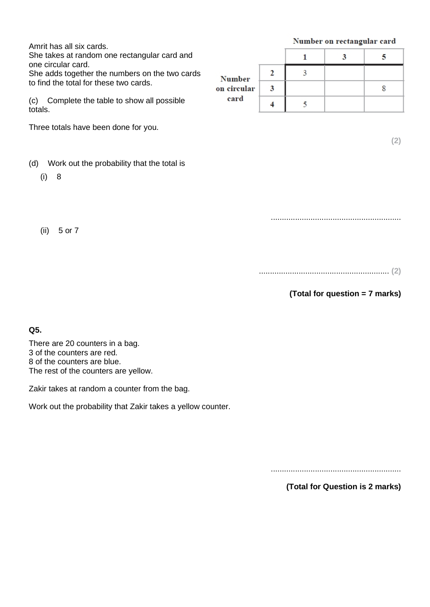Amrit has all six cards.

She takes at random one rectangular card and one circular card.

She adds together the numbers on the two cards to find the total for these two cards.

(c) Complete the table to show all possible totals.

Three totals have been done for you.

- (d) Work out the probability that the total is
	- (i) 8

(ii) 5 or 7

|                     |   | Number on rectangular card |  |  |
|---------------------|---|----------------------------|--|--|
|                     |   |                            |  |  |
| <b>Number</b>       |   |                            |  |  |
| on circular<br>card | 3 |                            |  |  |
|                     |   |                            |  |  |

**(2)**

........................................................... **(2)**

...........................................................

**(Total for question = 7 marks)**

**Q5.**

There are 20 counters in a bag. 3 of the counters are red. 8 of the counters are blue. The rest of the counters are yellow.

Zakir takes at random a counter from the bag.

Work out the probability that Zakir takes a yellow counter.

...........................................................

**(Total for Question is 2 marks)**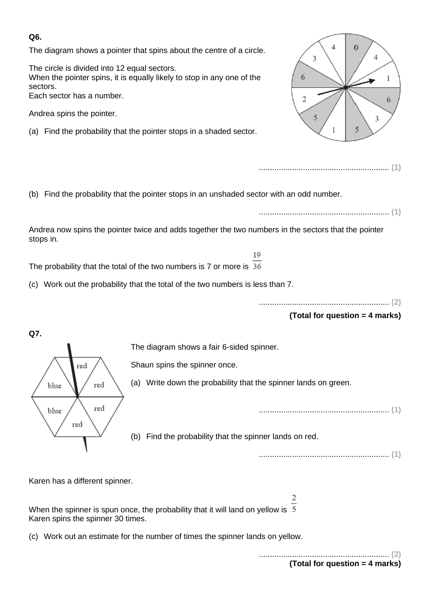#### **Q6.**

The diagram shows a pointer that spins about the centre of a circle.

The circle is divided into 12 equal sectors. When the pointer spins, it is equally likely to stop in any one of the sectors. Each sector has a number.

Andrea spins the pointer.

(a) Find the probability that the pointer stops in a shaded sector.



........................................................... **(1)**

(b) Find the probability that the pointer stops in an unshaded sector with an odd number. ........................................................... **(1)** Andrea now spins the pointer twice and adds together the two numbers in the sectors that the pointer stops in. 1<sup>Q</sup> The probability that the total of the two numbers is 7 or more is 36 (c) Work out the probability that the total of the two numbers is less than 7. ........................................................... **(2) (Total for question = 4 marks) Q7.** The diagram shows a fair 6-sided spinner. red Shaun spins the spinner once. (a) Write down the probability that the spinner lands on green. blue red

........................................................... **(1)**

(b) Find the probability that the spinner lands on red.

........................................................... **(1)**

Karen has a different spinner.

When the spinner is spun once, the probability that it will land on yellow is  $5$ Karen spins the spinner 30 times.

(c) Work out an estimate for the number of times the spinner lands on yellow.

........................................................... **(2) (Total for question = 4 marks)**

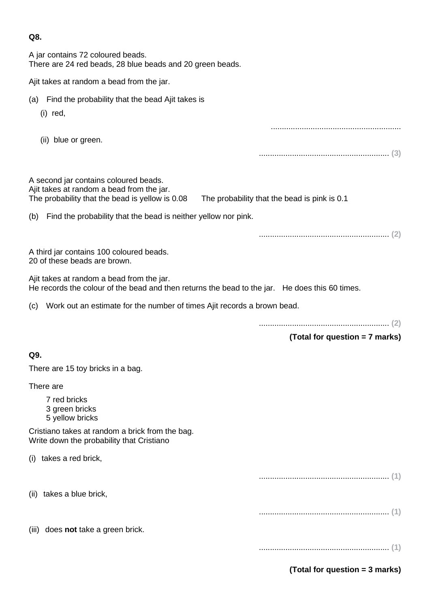A jar contains 72 coloured beads. There are 24 red beads, 28 blue beads and 20 green beads.

| Ajit takes at random a bead from the jar.                                                                                                   |                                              |
|---------------------------------------------------------------------------------------------------------------------------------------------|----------------------------------------------|
| Find the probability that the bead Ajit takes is<br>(a)<br>$(i)$ red,                                                                       |                                              |
| (ii) blue or green.                                                                                                                         |                                              |
|                                                                                                                                             |                                              |
| A second jar contains coloured beads.<br>Ajit takes at random a bead from the jar.<br>The probability that the bead is yellow is 0.08       | The probability that the bead is pink is 0.1 |
| (b) Find the probability that the bead is neither yellow nor pink.                                                                          |                                              |
|                                                                                                                                             |                                              |
| A third jar contains 100 coloured beads.<br>20 of these beads are brown.                                                                    |                                              |
| Ajit takes at random a bead from the jar.<br>He records the colour of the bead and then returns the bead to the jar. He does this 60 times. |                                              |
| (c) Work out an estimate for the number of times Ajit records a brown bead.                                                                 |                                              |
|                                                                                                                                             | (Total for question = 7 marks)               |
| Q9.                                                                                                                                         |                                              |
| There are 15 toy bricks in a bag.                                                                                                           |                                              |
| There are                                                                                                                                   |                                              |
| 7 red bricks<br>3 green bricks<br>5 yellow bricks                                                                                           |                                              |
| Cristiano takes at random a brick from the bag.<br>Write down the probability that Cristiano                                                |                                              |
| (i) takes a red brick,                                                                                                                      |                                              |
|                                                                                                                                             |                                              |
| (ii) takes a blue brick,                                                                                                                    |                                              |

(iii) does **not** take a green brick.

........................................................... **(1)**

**(Total for question = 3 marks)**